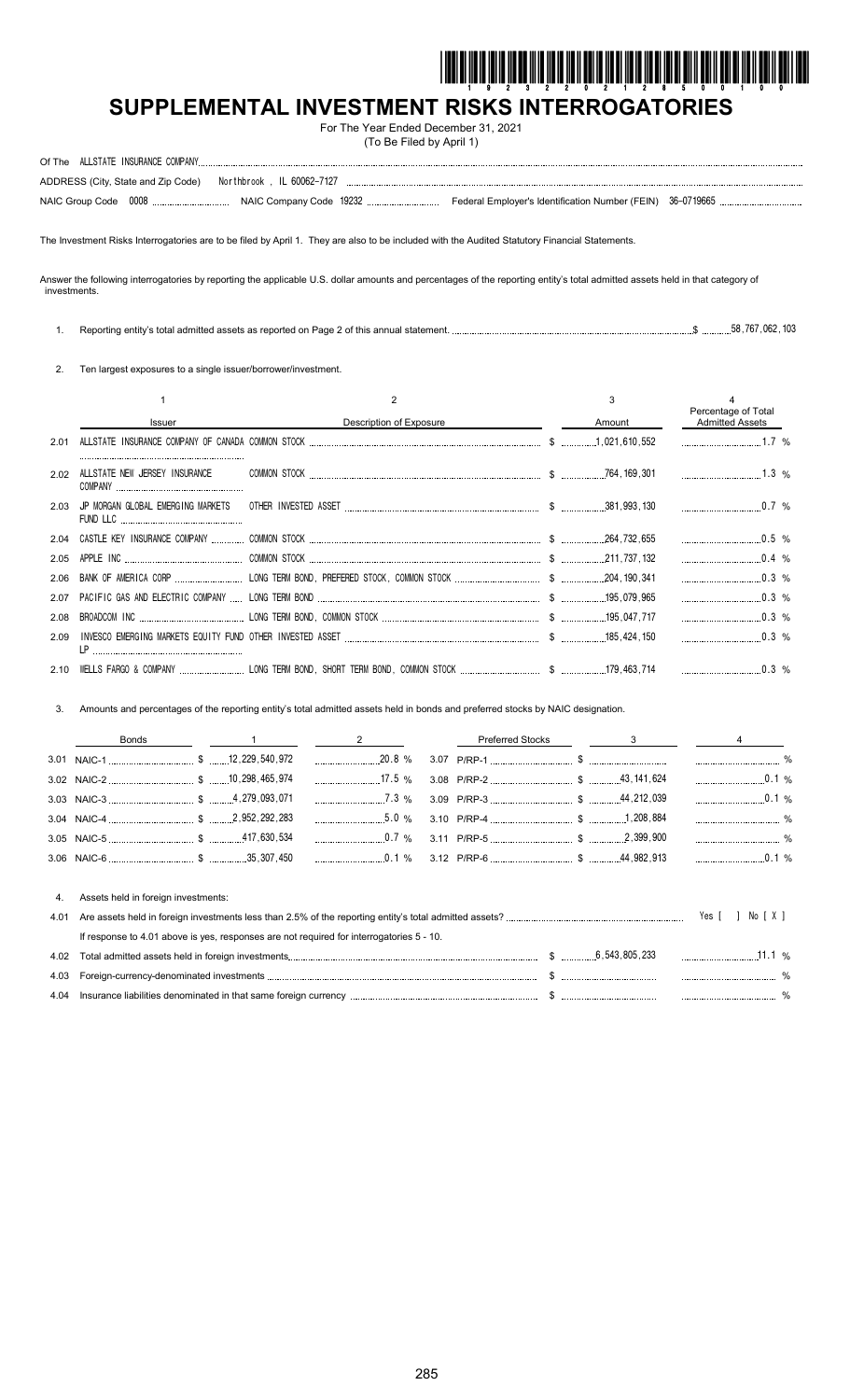

# **SUPPLEMENTAL INVESTMENT RISKS INTERROGATORIES**

For The Year Ended December 31, 2021 (To Be Filed by April 1)

|  | ADDRESS (City, State and Zip Code) Northbrook, IL 60062-7127 |  |  |
|--|--------------------------------------------------------------|--|--|
|  |                                                              |  |  |

The Investment Risks Interrogatories are to be filed by April 1. They are also to be included with the Audited Statutory Financial Statements.

Answer the following interrogatories by reporting the applicable U.S. dollar amounts and percentages of the reporting entity's total admitted assets held in that category of investments.

| Reporting entity's total admitted assets as reported on Page 2 of this annual statement. |  |  | 58.767 | .062.103 |
|------------------------------------------------------------------------------------------|--|--|--------|----------|
|                                                                                          |  |  |        |          |

2. Ten largest exposures to a single issuer/borrower/investment.

|      | Issuer                                 | Description of Exposure                                                                                        | Amount | Percentage of Total<br><b>Admitted Assets</b> |
|------|----------------------------------------|----------------------------------------------------------------------------------------------------------------|--------|-----------------------------------------------|
| 2.01 |                                        |                                                                                                                |        | $1.7\%$                                       |
| 2.02 | ALLSTATE NEW JERSEY INSURANCE          |                                                                                                                |        | $1.3 \%$                                      |
|      | 2.03 JP MORGAN GLOBAL EMERGING MARKETS | 0.7% 0.7% 0.7% 1.000 0.7% 1.000 0.7% 1.000 0.7% 1.000 0.7% 1.000 0.7% 1.000 0.7% 1.000 0.7% 1.000 0.7% 1.000 0 |        |                                               |
| 2.04 |                                        |                                                                                                                |        |                                               |
| 2.05 |                                        |                                                                                                                |        | $0.4\%$                                       |
| 2.06 |                                        |                                                                                                                |        |                                               |
| 2.07 |                                        |                                                                                                                |        | $\ldots$ 0.3 %                                |
| 2.08 |                                        |                                                                                                                |        | $\ldots$ 0.3 %                                |
| 2.09 |                                        |                                                                                                                |        | $0.3\%$                                       |
|      |                                        |                                                                                                                |        |                                               |

3. Amounts and percentages of the reporting entity's total admitted assets held in bonds and preferred stocks by NAIC designation.

|  |  | Bonds 1 1 2 Preferred Stocks 3 3 4 |  |
|--|--|------------------------------------|--|
|  |  |                                    |  |
|  |  |                                    |  |
|  |  |                                    |  |
|  |  |                                    |  |
|  |  |                                    |  |
|  |  |                                    |  |

|      | Assets held in foreign investments:                                                      |                                     |      |
|------|------------------------------------------------------------------------------------------|-------------------------------------|------|
| 4.01 |                                                                                          | $\lceil$ 1 No $\lceil$ X 1<br>Yes I |      |
|      | If response to 4.01 above is yes, responses are not required for interrogatories 5 - 10. |                                     |      |
| 4.02 |                                                                                          |                                     |      |
|      |                                                                                          |                                     | $\%$ |
|      |                                                                                          |                                     |      |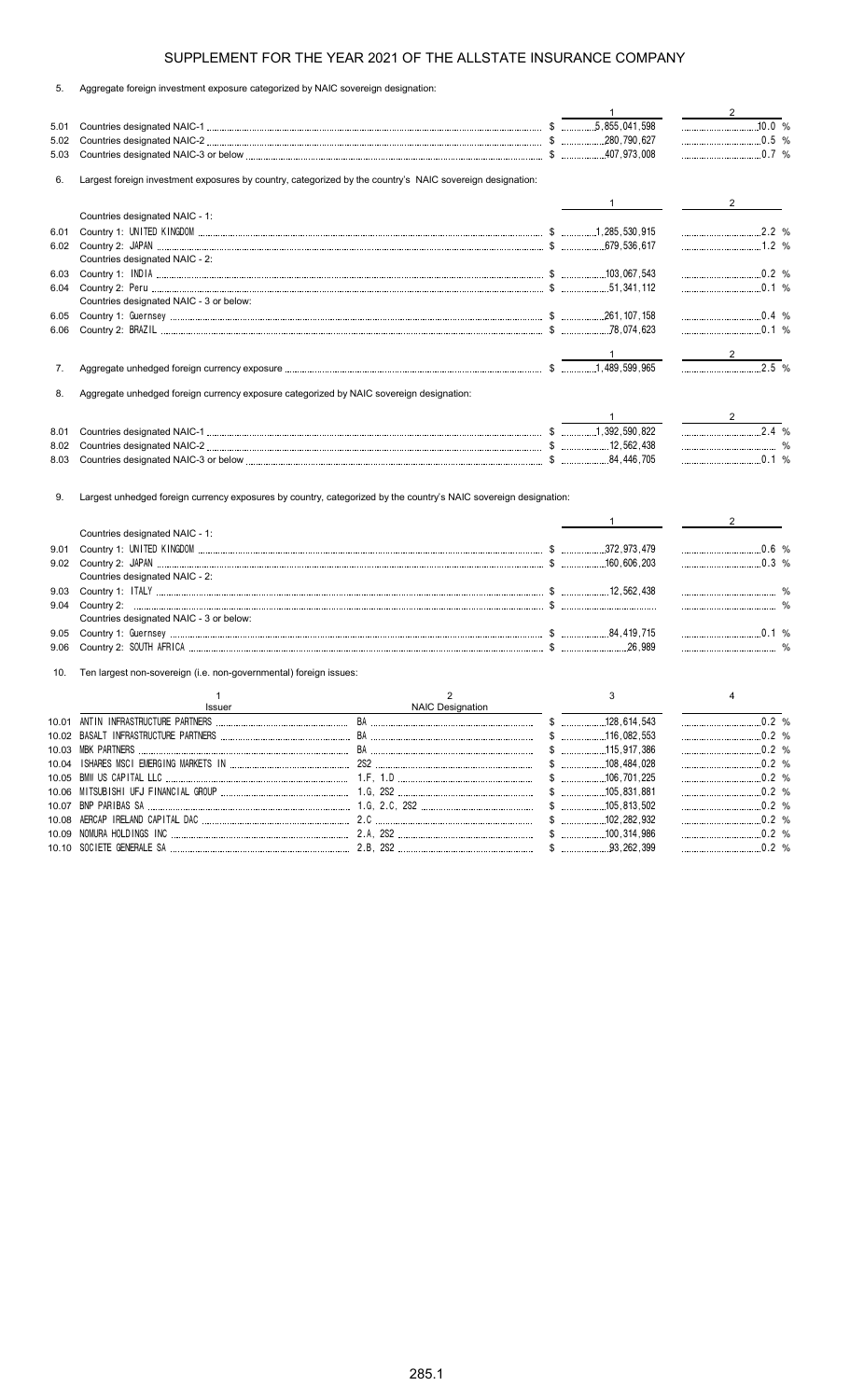| 5. |  |  | Aggregate foreign investment exposure categorized by NAIC sovereign designation: |  |  |
|----|--|--|----------------------------------------------------------------------------------|--|--|
|    |  |  |                                                                                  |  |  |

|              |                                                                                                                  |                         | $\mathbf{1}$                                                                                                                                                                                                                                                                                                                                                                                                                    | $2^{\circ}$                    |
|--------------|------------------------------------------------------------------------------------------------------------------|-------------------------|---------------------------------------------------------------------------------------------------------------------------------------------------------------------------------------------------------------------------------------------------------------------------------------------------------------------------------------------------------------------------------------------------------------------------------|--------------------------------|
| 5.01         |                                                                                                                  |                         |                                                                                                                                                                                                                                                                                                                                                                                                                                 | $10.0\%$                       |
| 5.02         |                                                                                                                  |                         |                                                                                                                                                                                                                                                                                                                                                                                                                                 | $\frac{1}{2}$ 0.5 %            |
| 5.03         |                                                                                                                  |                         |                                                                                                                                                                                                                                                                                                                                                                                                                                 | $0.7\%$                        |
| 6.           | Largest foreign investment exposures by country, categorized by the country's NAIC sovereign designation:        |                         |                                                                                                                                                                                                                                                                                                                                                                                                                                 |                                |
|              |                                                                                                                  |                         | $1 \quad \blacksquare$                                                                                                                                                                                                                                                                                                                                                                                                          | $2^{\sim}$                     |
|              | Countries designated NAIC - 1:                                                                                   |                         |                                                                                                                                                                                                                                                                                                                                                                                                                                 |                                |
| 6.01         |                                                                                                                  |                         |                                                                                                                                                                                                                                                                                                                                                                                                                                 |                                |
| 6.02         |                                                                                                                  |                         |                                                                                                                                                                                                                                                                                                                                                                                                                                 |                                |
|              | Countries designated NAIC - 2:                                                                                   |                         |                                                                                                                                                                                                                                                                                                                                                                                                                                 |                                |
| 6.03         |                                                                                                                  |                         |                                                                                                                                                                                                                                                                                                                                                                                                                                 |                                |
| 6.04         | Countries designated NAIC - 3 or below:                                                                          |                         |                                                                                                                                                                                                                                                                                                                                                                                                                                 |                                |
|              |                                                                                                                  |                         |                                                                                                                                                                                                                                                                                                                                                                                                                                 | $\ldots$ 0.4 %                 |
| 6.05<br>6.06 |                                                                                                                  |                         |                                                                                                                                                                                                                                                                                                                                                                                                                                 | $\ldots$ 0.1 %                 |
|              |                                                                                                                  |                         |                                                                                                                                                                                                                                                                                                                                                                                                                                 |                                |
|              |                                                                                                                  |                         |                                                                                                                                                                                                                                                                                                                                                                                                                                 | $\overline{\phantom{a}}$ 2     |
| 7.           |                                                                                                                  |                         |                                                                                                                                                                                                                                                                                                                                                                                                                                 | $\frac{1}{2.5}$ %              |
| 8.           | Aggregate unhedged foreign currency exposure categorized by NAIC sovereign designation:                          |                         |                                                                                                                                                                                                                                                                                                                                                                                                                                 |                                |
|              |                                                                                                                  |                         | $1 \quad$                                                                                                                                                                                                                                                                                                                                                                                                                       |                                |
| 8.01         |                                                                                                                  |                         |                                                                                                                                                                                                                                                                                                                                                                                                                                 | $2.4 %$                        |
| 8.02         |                                                                                                                  |                         |                                                                                                                                                                                                                                                                                                                                                                                                                                 |                                |
| 8.03         |                                                                                                                  |                         |                                                                                                                                                                                                                                                                                                                                                                                                                                 |                                |
|              |                                                                                                                  |                         |                                                                                                                                                                                                                                                                                                                                                                                                                                 |                                |
| 9.           | Largest unhedged foreign currency exposures by country, categorized by the country's NAIC sovereign designation: |                         | $\frac{1}{\sqrt{1-\frac{1}{2}}}\frac{1}{\sqrt{1-\frac{1}{2}}}\frac{1}{\sqrt{1-\frac{1}{2}}}\frac{1}{\sqrt{1-\frac{1}{2}}}\frac{1}{\sqrt{1-\frac{1}{2}}}\frac{1}{\sqrt{1-\frac{1}{2}}}\frac{1}{\sqrt{1-\frac{1}{2}}}\frac{1}{\sqrt{1-\frac{1}{2}}}\frac{1}{\sqrt{1-\frac{1}{2}}}\frac{1}{\sqrt{1-\frac{1}{2}}}\frac{1}{\sqrt{1-\frac{1}{2}}}\frac{1}{\sqrt{1-\frac{1}{2}}}\frac{1}{\sqrt{1-\frac{1}{2}}}\frac{1}{\sqrt{1-\frac{$ | $2 \left( \frac{1}{2} \right)$ |
|              | Countries designated NAIC - 1:                                                                                   |                         |                                                                                                                                                                                                                                                                                                                                                                                                                                 |                                |
| 9.01         |                                                                                                                  |                         |                                                                                                                                                                                                                                                                                                                                                                                                                                 | $\ldots$ 0.6 %                 |
| 9.02         | Countries designated NAIC - 2:                                                                                   |                         |                                                                                                                                                                                                                                                                                                                                                                                                                                 | $\ldots$ 0.3 %                 |
| 9.03         |                                                                                                                  |                         |                                                                                                                                                                                                                                                                                                                                                                                                                                 |                                |
| 9.04         |                                                                                                                  |                         |                                                                                                                                                                                                                                                                                                                                                                                                                                 |                                |
|              | Countries designated NAIC - 3 or below:                                                                          |                         |                                                                                                                                                                                                                                                                                                                                                                                                                                 |                                |
| 9.05         |                                                                                                                  |                         |                                                                                                                                                                                                                                                                                                                                                                                                                                 | $\ldots$ 0.1 %                 |
| 9.06         |                                                                                                                  |                         |                                                                                                                                                                                                                                                                                                                                                                                                                                 |                                |
| 10.          | Ten largest non-sovereign (i.e. non-governmental) foreign issues:                                                |                         |                                                                                                                                                                                                                                                                                                                                                                                                                                 |                                |
|              | 1                                                                                                                | 2                       | 3                                                                                                                                                                                                                                                                                                                                                                                                                               | 4                              |
|              | Issuer                                                                                                           | <b>NAIC Designation</b> |                                                                                                                                                                                                                                                                                                                                                                                                                                 |                                |
|              | 10.01 ANTIN INFRASTRUCTURE PARTNERS                                                                              |                         |                                                                                                                                                                                                                                                                                                                                                                                                                                 | .0.2%                          |
|              |                                                                                                                  |                         |                                                                                                                                                                                                                                                                                                                                                                                                                                 |                                |
| 10.03        |                                                                                                                  |                         |                                                                                                                                                                                                                                                                                                                                                                                                                                 | 0.2 %                          |
|              |                                                                                                                  |                         |                                                                                                                                                                                                                                                                                                                                                                                                                                 |                                |
|              |                                                                                                                  |                         |                                                                                                                                                                                                                                                                                                                                                                                                                                 |                                |
| 10.06        |                                                                                                                  |                         |                                                                                                                                                                                                                                                                                                                                                                                                                                 |                                |
| 10.07        |                                                                                                                  |                         |                                                                                                                                                                                                                                                                                                                                                                                                                                 |                                |
| 10.08        |                                                                                                                  |                         |                                                                                                                                                                                                                                                                                                                                                                                                                                 |                                |
| 10.09        |                                                                                                                  |                         |                                                                                                                                                                                                                                                                                                                                                                                                                                 |                                |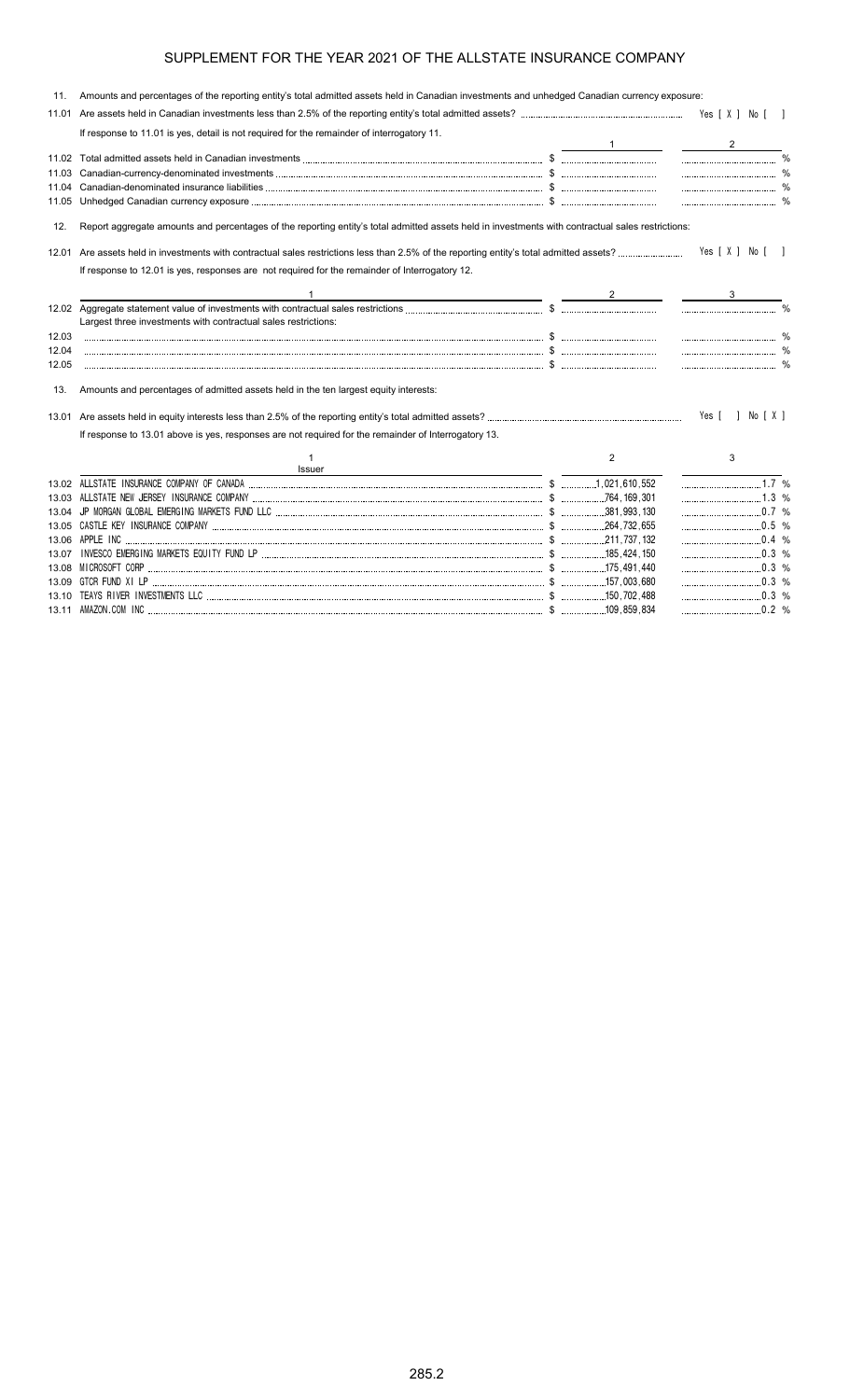| 11.   | Amounts and percentages of the reporting entity's total admitted assets held in Canadian investments and unhedged Canadian currency exposure:     |                |                  |  |
|-------|---------------------------------------------------------------------------------------------------------------------------------------------------|----------------|------------------|--|
| 11.01 |                                                                                                                                                   |                |                  |  |
|       | If response to 11.01 is yes, detail is not required for the remainder of interrogatory 11.                                                        |                |                  |  |
|       |                                                                                                                                                   |                |                  |  |
|       |                                                                                                                                                   |                |                  |  |
| 11.03 |                                                                                                                                                   |                |                  |  |
| 11.04 |                                                                                                                                                   |                |                  |  |
| 11.05 |                                                                                                                                                   |                |                  |  |
| 12.   | Report aggregate amounts and percentages of the reporting entity's total admitted assets held in investments with contractual sales restrictions: |                |                  |  |
|       |                                                                                                                                                   |                | Yes [ X ] No [ ] |  |
|       | If response to 12.01 is yes, responses are not required for the remainder of Interrogatory 12.                                                    |                |                  |  |
|       |                                                                                                                                                   |                |                  |  |
|       | Largest three investments with contractual sales restrictions:                                                                                    |                |                  |  |
| 12.03 |                                                                                                                                                   |                |                  |  |
| 12.04 |                                                                                                                                                   |                |                  |  |
| 12.05 |                                                                                                                                                   |                |                  |  |
| 13.   | Amounts and percentages of admitted assets held in the ten largest equity interests:                                                              |                |                  |  |
|       |                                                                                                                                                   |                | Yes [ ] No [ X ] |  |
|       | If response to 13.01 above is yes, responses are not required for the remainder of Interrogatory 13.                                              |                |                  |  |
|       | 1<br>Issuer                                                                                                                                       | $\overline{2}$ | 3                |  |
|       |                                                                                                                                                   |                |                  |  |
|       |                                                                                                                                                   |                |                  |  |
|       |                                                                                                                                                   |                |                  |  |
|       |                                                                                                                                                   |                |                  |  |
|       | 13.06 APPLE INC<br>$\ldots$ 311,737,132                                                                                                           |                |                  |  |
|       |                                                                                                                                                   |                | $\ldots$ 0.3 %   |  |
|       |                                                                                                                                                   |                |                  |  |
|       |                                                                                                                                                   |                |                  |  |
|       |                                                                                                                                                   |                |                  |  |

13.11 AMAZON.COM INC \$ 109,859,834 0.2 %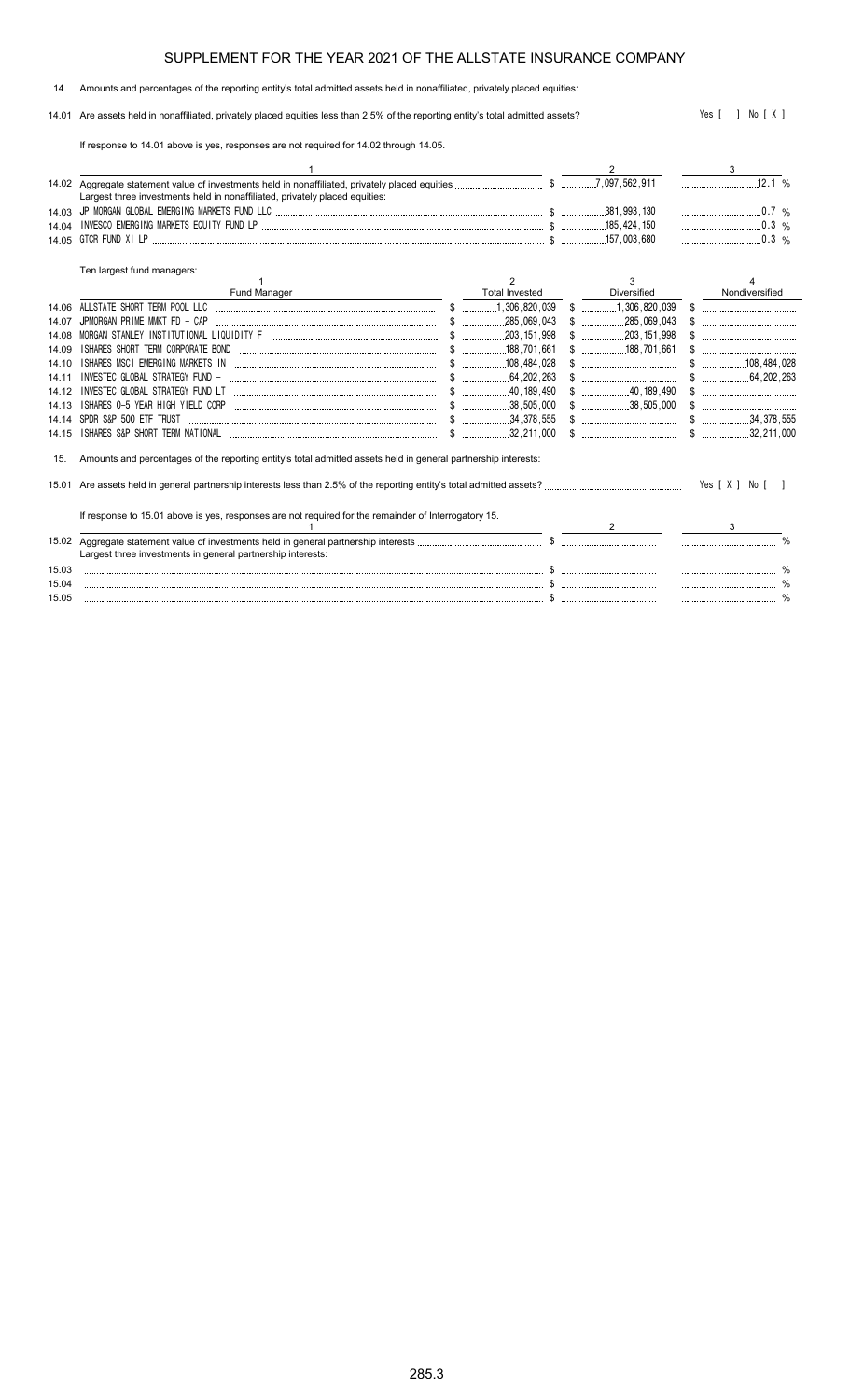#### 14. Amounts and percentages of the reporting entity's total admitted assets held in nonaffiliated, privately placed equities:

14.01 Are assets held in nonaffiliated, privately placed equities less than 2.5% of the reporting entity's total admitted assets? Yes [ ] No [ X ]

If response to 14.01 above is yes, responses are not required for 14.02 through 14.05.

|       |                                                                                                                |                       |                                                                                                                                                                                                                                                                                                                     | 3               |       |
|-------|----------------------------------------------------------------------------------------------------------------|-----------------------|---------------------------------------------------------------------------------------------------------------------------------------------------------------------------------------------------------------------------------------------------------------------------------------------------------------------|-----------------|-------|
|       |                                                                                                                |                       |                                                                                                                                                                                                                                                                                                                     |                 | 12.1% |
|       | Largest three investments held in nonaffiliated, privately placed equities:                                    |                       |                                                                                                                                                                                                                                                                                                                     |                 |       |
| 1403  |                                                                                                                |                       |                                                                                                                                                                                                                                                                                                                     | $0.7\%$         |       |
| 14.04 |                                                                                                                |                       |                                                                                                                                                                                                                                                                                                                     |                 |       |
| 14.05 |                                                                                                                |                       |                                                                                                                                                                                                                                                                                                                     | $\ldots$ 0.3 %  |       |
|       | Ten largest fund managers:                                                                                     |                       |                                                                                                                                                                                                                                                                                                                     |                 |       |
|       |                                                                                                                | 2                     | 3                                                                                                                                                                                                                                                                                                                   |                 |       |
|       | Fund Manager                                                                                                   | <b>Total Invested</b> | Diversified                                                                                                                                                                                                                                                                                                         | Nondiversified  |       |
| 14.06 | ALLSTATE SHORT TERM POOL LLC                                                                                   | $$$ 1,306,820,039     | $$$ 1,306,820,039                                                                                                                                                                                                                                                                                                   |                 |       |
| 14 07 | JPMORGAN PRIME MMKT FD - CAP                                                                                   |                       |                                                                                                                                                                                                                                                                                                                     |                 |       |
| 14.08 |                                                                                                                |                       |                                                                                                                                                                                                                                                                                                                     |                 |       |
| 14.09 | ISHARES SHORT TERM CORPORATE BOND                                                                              |                       |                                                                                                                                                                                                                                                                                                                     |                 |       |
| 14 10 | ISHARES MSCI EMERGING MARKETS IN                                                                               |                       | $\mathbb{S}$ . The contract of the contract of the contract of the contract of the contract of the contract of the contract of the contract of the contract of the contract of the contract of the contract of the contract of th                                                                                   | $$$ 108.484.028 |       |
| 14.11 | INVESTEC GLOBAL STRATEGY FUND -                                                                                |                       |                                                                                                                                                                                                                                                                                                                     | $$$ 64.202.263  |       |
| 14.12 | INVESTEC GLOBAL STRATEGY FUND LT                                                                               |                       |                                                                                                                                                                                                                                                                                                                     |                 |       |
| 14.13 | ISHARES 0-5 YEAR HIGH YIELD CORP<br>$\sim$ 38,505,000                                                          |                       |                                                                                                                                                                                                                                                                                                                     | $\mathcal{S}$   |       |
| 14 14 | SPDR S&P 500 ETF TRUST                                                                                         |                       | $\frac{1}{2}$ $\frac{1}{2}$ $\frac{1}{2}$ $\frac{1}{2}$ $\frac{1}{2}$ $\frac{1}{2}$ $\frac{1}{2}$ $\frac{1}{2}$ $\frac{1}{2}$ $\frac{1}{2}$ $\frac{1}{2}$ $\frac{1}{2}$ $\frac{1}{2}$ $\frac{1}{2}$ $\frac{1}{2}$ $\frac{1}{2}$ $\frac{1}{2}$ $\frac{1}{2}$ $\frac{1}{2}$ $\frac{1}{2}$ $\frac{1}{2}$ $\frac{1}{2}$ |                 |       |
| 14.15 |                                                                                                                | .32.211.000           | $\frac{1}{2}$ $\frac{1}{2}$ $\frac{1}{2}$ $\frac{1}{2}$ $\frac{1}{2}$ $\frac{1}{2}$ $\frac{1}{2}$ $\frac{1}{2}$ $\frac{1}{2}$ $\frac{1}{2}$ $\frac{1}{2}$ $\frac{1}{2}$ $\frac{1}{2}$ $\frac{1}{2}$ $\frac{1}{2}$ $\frac{1}{2}$ $\frac{1}{2}$ $\frac{1}{2}$ $\frac{1}{2}$ $\frac{1}{2}$ $\frac{1}{2}$ $\frac{1}{2}$ |                 |       |
| 15.   | Amounts and percentages of the reporting entity's total admitted assets held in general partnership interests: |                       |                                                                                                                                                                                                                                                                                                                     |                 |       |
|       |                                                                                                                |                       |                                                                                                                                                                                                                                                                                                                     |                 |       |
|       | If response to 15.01 above is yes, responses are not required for the remainder of Interrogatory 15.           |                       | 2                                                                                                                                                                                                                                                                                                                   | 3               |       |
|       |                                                                                                                |                       |                                                                                                                                                                                                                                                                                                                     |                 |       |
|       | Largest three investments in general partnership interests:                                                    |                       |                                                                                                                                                                                                                                                                                                                     |                 |       |
| 15.03 |                                                                                                                |                       |                                                                                                                                                                                                                                                                                                                     |                 |       |
| 15.04 |                                                                                                                |                       |                                                                                                                                                                                                                                                                                                                     |                 |       |
| 15.05 |                                                                                                                |                       |                                                                                                                                                                                                                                                                                                                     |                 |       |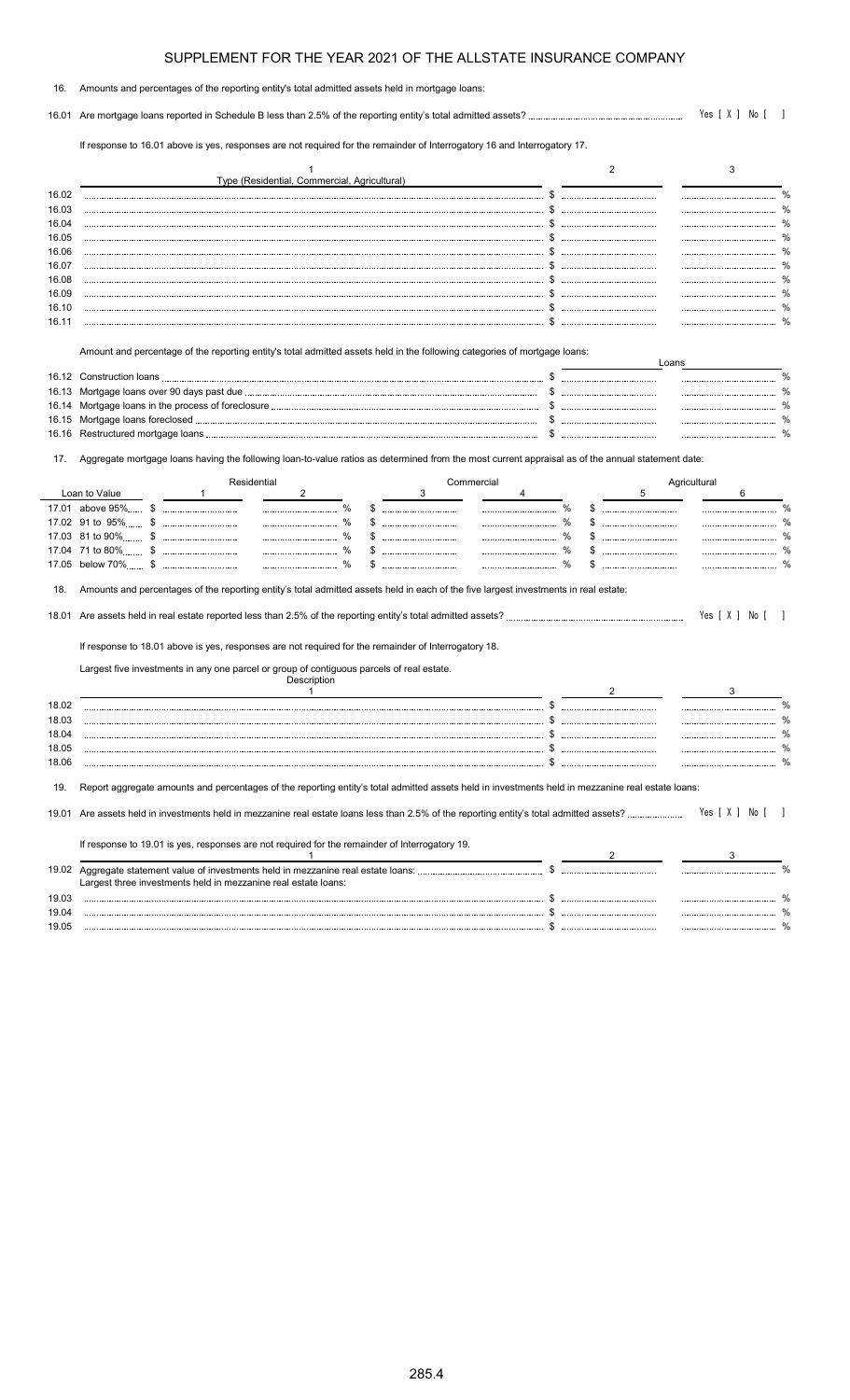| 16. Amounts and percentages of the reporting entity's total admitted assets held in mortgage loans: |  |
|-----------------------------------------------------------------------------------------------------|--|
|                                                                                                     |  |

16.01 Are mortgage loans reported in Schedule B less than 2.5% of the reporting entity's total admitted assets? Yes [ X ] No [ ]

If response to 16.01 above is yes, responses are not required for the remainder of Interrogatory 16 and Interrogatory 17.

|                         |                                                                                                                                                   | Type (Residential, Commercial, Agricultural) |            |                       |    |       | 3            |                |
|-------------------------|---------------------------------------------------------------------------------------------------------------------------------------------------|----------------------------------------------|------------|-----------------------|----|-------|--------------|----------------|
| 16.02                   |                                                                                                                                                   |                                              |            |                       |    |       |              |                |
| 16.03                   |                                                                                                                                                   |                                              |            |                       |    |       |              |                |
| 16.04                   |                                                                                                                                                   |                                              |            | £.                    |    |       |              | $\%$           |
| 16.05                   |                                                                                                                                                   |                                              |            | \$                    |    |       |              | $\%$           |
| 16.06                   |                                                                                                                                                   |                                              |            |                       |    |       |              | %              |
| 16.07                   |                                                                                                                                                   |                                              |            | \$.                   |    |       |              | $\%$           |
| 16.08                   |                                                                                                                                                   |                                              |            | S.                    |    |       |              | %              |
| 16.09                   |                                                                                                                                                   |                                              |            |                       |    |       |              |                |
| 16.10                   |                                                                                                                                                   |                                              |            |                       |    |       |              | $\%$           |
| 16.11                   |                                                                                                                                                   |                                              |            |                       |    |       |              |                |
|                         | Amount and percentage of the reporting entity's total admitted assets held in the following categories of mortgage loans:                         |                                              |            |                       |    |       |              |                |
|                         |                                                                                                                                                   |                                              |            |                       |    | Loans |              |                |
| 16.13                   |                                                                                                                                                   |                                              |            |                       |    |       |              |                |
| 16.14                   |                                                                                                                                                   |                                              |            | \$.                   |    |       |              | %              |
| 16.15                   |                                                                                                                                                   |                                              |            | \$                    |    |       |              | $\%$           |
| 16.16                   |                                                                                                                                                   |                                              |            |                       |    |       |              |                |
| 17.                     | Aggregate mortgage loans having the following loan-to-value ratios as determined from the most current appraisal as of the annual statement date: |                                              |            |                       |    |       |              |                |
|                         | Residential                                                                                                                                       |                                              | Commercial |                       |    |       | Agricultural |                |
|                         | Loan to Value                                                                                                                                     | $\overline{2}$                               |            | 4                     |    | 5     |              | 6              |
|                         | 17.01 above 95% \$<br>17.02 91 to 95% \$                                                                                                          | $\%$<br>$\frac{0}{6}$                        | \$         | $\%$<br>$\frac{0}{0}$ | \$ |       |              | %              |
|                         |                                                                                                                                                   |                                              | \$         | $\%$<br>              |    |       |              |                |
|                         | 17.03 81 to 90%                                                                                                                                   | $\%$                                         |            | $\%$                  |    |       |              |                |
| 17.05                   |                                                                                                                                                   | $\frac{0}{0}$                                |            | $\frac{0}{0}$         |    |       |              |                |
| 18.                     | Amounts and percentages of the reporting entity's total admitted assets held in each of the five largest investments in real estate:              |                                              |            |                       |    |       |              |                |
|                         |                                                                                                                                                   |                                              |            |                       |    |       |              | Yes [ X ] No [ |
|                         | If response to 18.01 above is yes, responses are not required for the remainder of Interrogatory 18.                                              |                                              |            |                       |    |       |              |                |
|                         | Largest five investments in any one parcel or group of contiguous parcels of real estate.                                                         | Description                                  |            |                       |    |       |              |                |
|                         |                                                                                                                                                   | $\mathbf{1}$                                 |            |                       | 2  |       |              | 3              |
|                         |                                                                                                                                                   |                                              |            |                       |    |       |              | $\frac{0}{2}$  |
| 18.03                   |                                                                                                                                                   |                                              |            |                       |    |       |              |                |
| 18.02<br>18.04<br>18.05 |                                                                                                                                                   |                                              |            | \$.<br>\$             |    |       |              | $\%$<br>%      |

19. Report aggregate amounts and percentages of the reporting entity's total admitted assets held in investments held in mezzanine real estate loans:

| 19.01 Are assets held in investments held in mezzanine real estate loans less than 2.5% of the reporting entity's total admitted assets?              |  | Yes [ X ] No [ |  |
|-------------------------------------------------------------------------------------------------------------------------------------------------------|--|----------------|--|
| If response to 19.01 is yes, responses are not required for the remainder of Interrogatory 19.                                                        |  |                |  |
| 19.02 Aggregate statement value of investments held in mezzanine real estate loans:<br>Largest three investments held in mezzanine real estate loans: |  |                |  |

19.03 \$ % 19.04 \$ % 19.05 \$ %